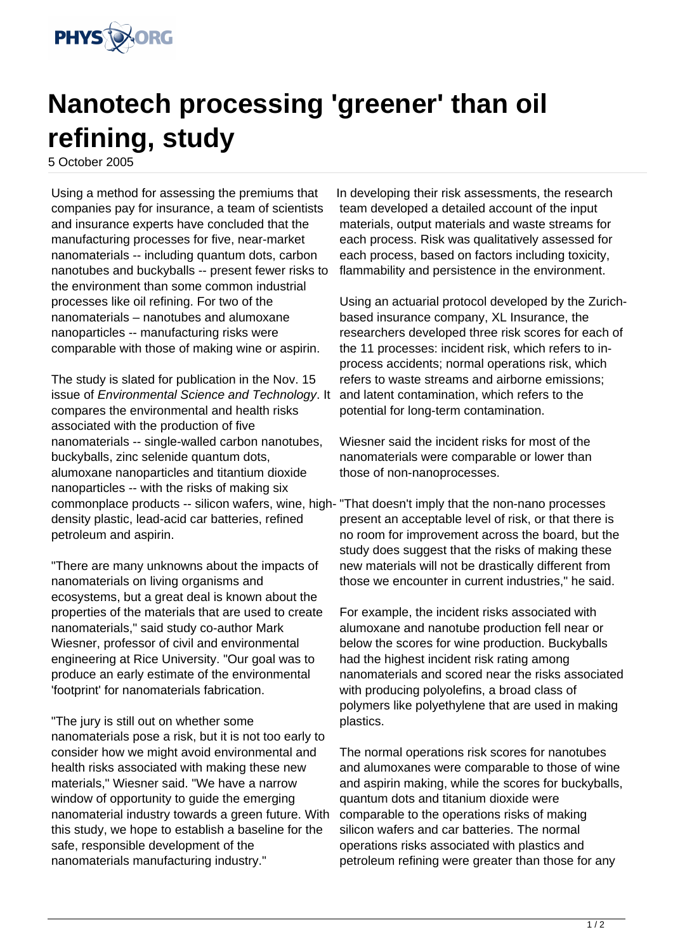

## **Nanotech processing 'greener' than oil refining, study**

5 October 2005

Using a method for assessing the premiums that companies pay for insurance, a team of scientists and insurance experts have concluded that the manufacturing processes for five, near-market nanomaterials -- including quantum dots, carbon nanotubes and buckyballs -- present fewer risks to the environment than some common industrial processes like oil refining. For two of the nanomaterials – nanotubes and alumoxane nanoparticles -- manufacturing risks were comparable with those of making wine or aspirin.

The study is slated for publication in the Nov. 15 issue of Environmental Science and Technology. It compares the environmental and health risks associated with the production of five nanomaterials -- single-walled carbon nanotubes, buckyballs, zinc selenide quantum dots, alumoxane nanoparticles and titantium dioxide nanoparticles -- with the risks of making six commonplace products -- silicon wafers, wine, high-"That doesn't imply that the non-nano processes density plastic, lead-acid car batteries, refined petroleum and aspirin.

"There are many unknowns about the impacts of nanomaterials on living organisms and ecosystems, but a great deal is known about the properties of the materials that are used to create nanomaterials," said study co-author Mark Wiesner, professor of civil and environmental engineering at Rice University. "Our goal was to produce an early estimate of the environmental 'footprint' for nanomaterials fabrication.

"The jury is still out on whether some nanomaterials pose a risk, but it is not too early to consider how we might avoid environmental and health risks associated with making these new materials," Wiesner said. "We have a narrow window of opportunity to quide the emerging nanomaterial industry towards a green future. With this study, we hope to establish a baseline for the safe, responsible development of the nanomaterials manufacturing industry."

In developing their risk assessments, the research team developed a detailed account of the input materials, output materials and waste streams for each process. Risk was qualitatively assessed for each process, based on factors including toxicity, flammability and persistence in the environment.

Using an actuarial protocol developed by the Zurichbased insurance company, XL Insurance, the researchers developed three risk scores for each of the 11 processes: incident risk, which refers to inprocess accidents; normal operations risk, which refers to waste streams and airborne emissions; and latent contamination, which refers to the potential for long-term contamination.

Wiesner said the incident risks for most of the nanomaterials were comparable or lower than those of non-nanoprocesses.

present an acceptable level of risk, or that there is no room for improvement across the board, but the study does suggest that the risks of making these new materials will not be drastically different from those we encounter in current industries," he said.

For example, the incident risks associated with alumoxane and nanotube production fell near or below the scores for wine production. Buckyballs had the highest incident risk rating among nanomaterials and scored near the risks associated with producing polyolefins, a broad class of polymers like polyethylene that are used in making plastics.

The normal operations risk scores for nanotubes and alumoxanes were comparable to those of wine and aspirin making, while the scores for buckyballs, quantum dots and titanium dioxide were comparable to the operations risks of making silicon wafers and car batteries. The normal operations risks associated with plastics and petroleum refining were greater than those for any